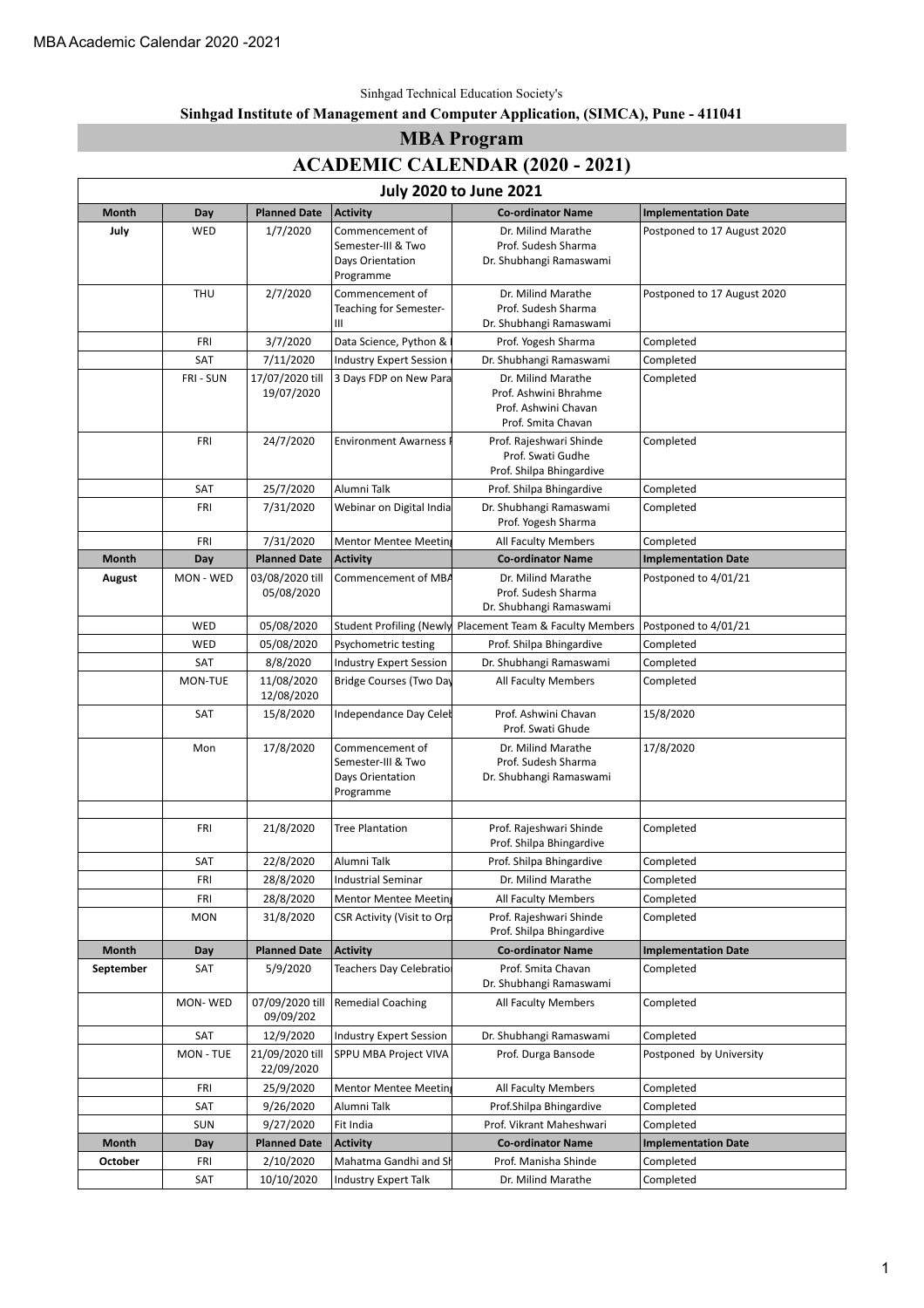#### Sinhgad Technical Education Society's

#### **Sinhgad Institute of Management and Computer Application, (SIMCA), Pune - 411041**

#### **MBA Program**

#### **ACADEMIC CALENDAR (2020 - 2021)**

| <b>July 2020 to June 2021</b> |            |                               |                                                                        |                                                                                           |                             |  |  |
|-------------------------------|------------|-------------------------------|------------------------------------------------------------------------|-------------------------------------------------------------------------------------------|-----------------------------|--|--|
| <b>Month</b>                  | Day        | <b>Planned Date</b>           | <b>Activity</b>                                                        | <b>Co-ordinator Name</b>                                                                  | <b>Implementation Date</b>  |  |  |
| July                          | WED        | 1/7/2020                      | Commencement of<br>Semester-III & Two<br>Days Orientation<br>Programme | Dr. Milind Marathe<br>Prof. Sudesh Sharma<br>Dr. Shubhangi Ramaswami                      | Postponed to 17 August 2020 |  |  |
|                               | <b>THU</b> | 2/7/2020                      | Commencement of<br>Teaching for Semester-<br>Ш                         | Dr. Milind Marathe<br>Prof. Sudesh Sharma<br>Dr. Shubhangi Ramaswami                      | Postponed to 17 August 2020 |  |  |
|                               | FRI        | 3/7/2020                      | Data Science, Python &                                                 | Prof. Yogesh Sharma                                                                       | Completed                   |  |  |
|                               | SAT        | 7/11/2020                     | <b>Industry Expert Session</b>                                         | Dr. Shubhangi Ramaswami                                                                   | Completed                   |  |  |
|                               | FRI - SUN  | 17/07/2020 till<br>19/07/2020 | 3 Days FDP on New Para                                                 | Dr. Milind Marathe<br>Prof. Ashwini Bhrahme<br>Prof. Ashwini Chavan<br>Prof. Smita Chavan | Completed                   |  |  |
|                               | <b>FRI</b> | 24/7/2020                     | <b>Environment Awarness</b>                                            | Prof. Rajeshwari Shinde<br>Prof. Swati Gudhe<br>Prof. Shilpa Bhingardive                  | Completed                   |  |  |
|                               | SAT        | 25/7/2020                     | Alumni Talk                                                            | Prof. Shilpa Bhingardive                                                                  | Completed                   |  |  |
|                               | FRI        | 7/31/2020                     | Webinar on Digital India                                               | Dr. Shubhangi Ramaswami<br>Prof. Yogesh Sharma                                            | Completed                   |  |  |
|                               | FRI        | 7/31/2020                     | Mentor Mentee Meetin                                                   | All Faculty Members                                                                       | Completed                   |  |  |
| <b>Month</b>                  | Day        | <b>Planned Date</b>           | <b>Activity</b>                                                        | <b>Co-ordinator Name</b>                                                                  | <b>Implementation Date</b>  |  |  |
| August                        | MON - WED  | 03/08/2020 till               | Commencement of MBA                                                    | Dr. Milind Marathe                                                                        | Postponed to 4/01/21        |  |  |
|                               |            | 05/08/2020                    |                                                                        | Prof. Sudesh Sharma<br>Dr. Shubhangi Ramaswami                                            |                             |  |  |
|                               | WED        | 05/08/2020                    | <b>Student Profiling (Newly</b>                                        | Placement Team & Faculty Members                                                          | Postponed to 4/01/21        |  |  |
|                               | WED        | 05/08/2020                    | Psychometric testing                                                   | Prof. Shilpa Bhingardive                                                                  | Completed                   |  |  |
|                               | SAT        | 8/8/2020                      | <b>Industry Expert Session</b>                                         | Dr. Shubhangi Ramaswami                                                                   | Completed                   |  |  |
|                               | MON-TUE    | 11/08/2020<br>12/08/2020      | Bridge Courses (Two Day                                                | All Faculty Members                                                                       | Completed                   |  |  |
|                               | SAT        | 15/8/2020                     | Independance Day Celeb                                                 | Prof. Ashwini Chavan<br>Prof. Swati Ghude                                                 | 15/8/2020                   |  |  |
|                               | Mon        | 17/8/2020                     | Commencement of<br>Semester-III & Two<br>Days Orientation<br>Programme | Dr. Milind Marathe<br>Prof. Sudesh Sharma<br>Dr. Shubhangi Ramaswami                      | 17/8/2020                   |  |  |
|                               |            |                               |                                                                        |                                                                                           |                             |  |  |
|                               | <b>FRI</b> | 21/8/2020                     | <b>Tree Plantation</b>                                                 | Prof. Rajeshwari Shinde<br>Prof. Shilpa Bhingardive                                       | Completed                   |  |  |
|                               | SAT        | 22/8/2020                     | Alumni Talk                                                            | Prof. Shilpa Bhingardive                                                                  | Completed                   |  |  |
|                               | FRI        | 28/8/2020                     | Industrial Seminar                                                     | Dr. Milind Marathe                                                                        | Completed                   |  |  |
|                               | <b>FRI</b> | 28/8/2020                     | <b>Mentor Mentee Meeting</b>                                           | All Faculty Members                                                                       | Completed                   |  |  |
|                               | <b>MON</b> | 31/8/2020                     | CSR Activity (Visit to Orp                                             | Prof. Rajeshwari Shinde<br>Prof. Shilpa Bhingardive                                       | Completed                   |  |  |
| Month                         | Day        | <b>Planned Date</b>           | <b>Activity</b>                                                        | <b>Co-ordinator Name</b>                                                                  | <b>Implementation Date</b>  |  |  |
| September                     | SAT        | 5/9/2020                      | <b>Teachers Day Celebration</b>                                        | Prof. Smita Chavan<br>Dr. Shubhangi Ramaswami                                             | Completed                   |  |  |
|                               | MON-WED    | 07/09/2020 till<br>09/09/202  | <b>Remedial Coaching</b>                                               | All Faculty Members                                                                       | Completed                   |  |  |
|                               | SAT        | 12/9/2020                     | <b>Industry Expert Session</b>                                         | Dr. Shubhangi Ramaswami                                                                   | Completed                   |  |  |
|                               | MON - TUE  | 21/09/2020 till<br>22/09/2020 | SPPU MBA Project VIVA                                                  | Prof. Durga Bansode                                                                       | Postponed by University     |  |  |
|                               | FRI        | 25/9/2020                     | <b>Mentor Mentee Meeting</b>                                           | All Faculty Members                                                                       | Completed                   |  |  |
|                               | SAT        | 9/26/2020                     | Alumni Talk                                                            | Prof.Shilpa Bhingardive                                                                   | Completed                   |  |  |
|                               | <b>SUN</b> | 9/27/2020                     | Fit India                                                              | Prof. Vikrant Maheshwari                                                                  | Completed                   |  |  |
| Month                         | Day        | <b>Planned Date</b>           | <b>Activity</b>                                                        | <b>Co-ordinator Name</b>                                                                  | <b>Implementation Date</b>  |  |  |
| October                       | FRI        | 2/10/2020                     | Mahatma Gandhi and Sh                                                  | Prof. Manisha Shinde                                                                      | Completed                   |  |  |
|                               | SAT        | 10/10/2020                    | Industry Expert Talk                                                   | Dr. Milind Marathe                                                                        | Completed                   |  |  |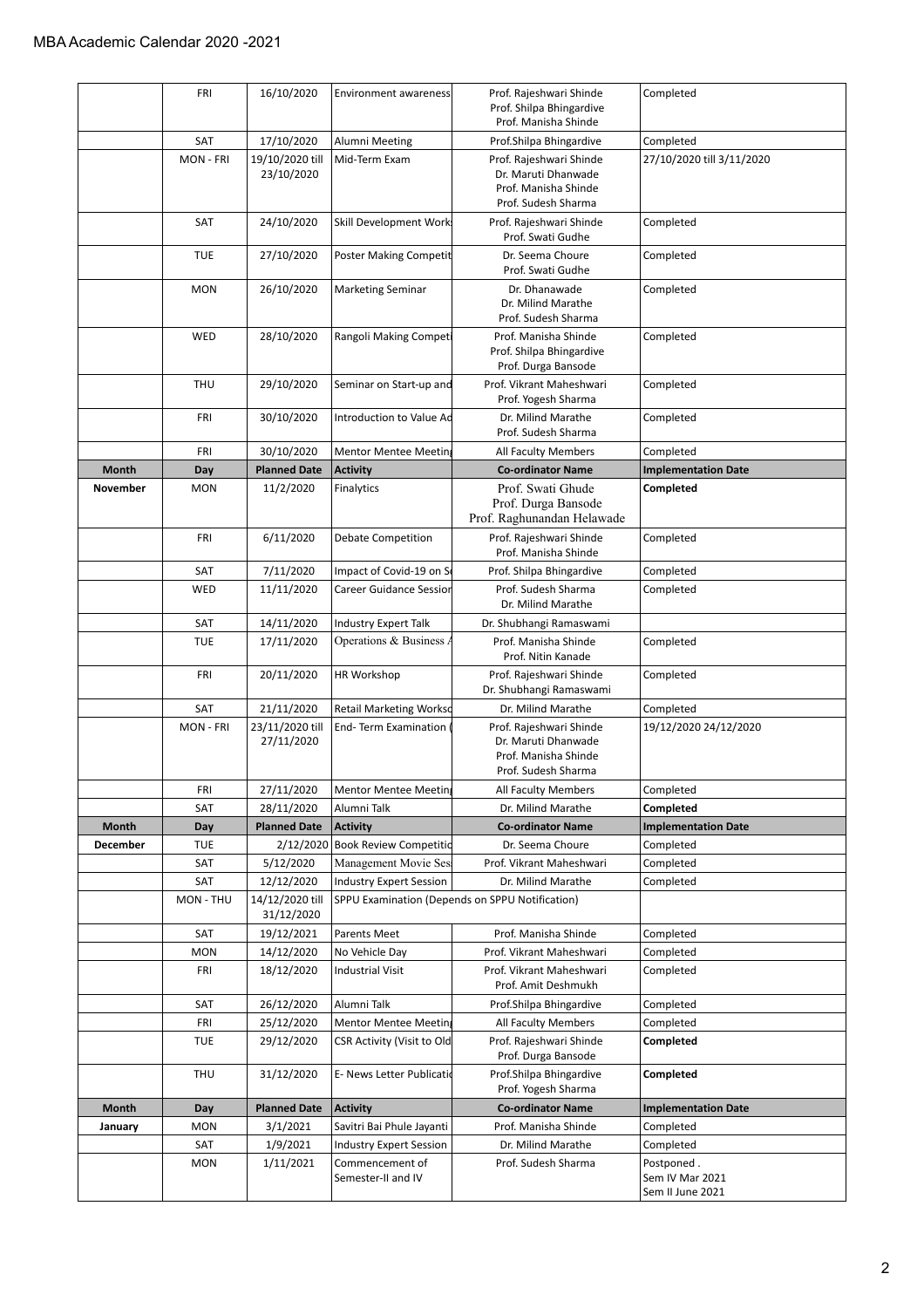|                 | <b>FRI</b><br>SAT | 16/10/2020                    | <b>Environment awareness</b>                          | Prof. Rajeshwari Shinde<br>Prof. Shilpa Bhingardive<br>Prof. Manisha Shinde | Completed                                         |
|-----------------|-------------------|-------------------------------|-------------------------------------------------------|-----------------------------------------------------------------------------|---------------------------------------------------|
|                 |                   |                               |                                                       |                                                                             |                                                   |
|                 |                   | 17/10/2020                    | Alumni Meeting                                        | Prof.Shilpa Bhingardive                                                     | Completed                                         |
|                 | MON - FRI         | 19/10/2020 till               | Mid-Term Exam                                         | Prof. Rajeshwari Shinde                                                     | 27/10/2020 till 3/11/2020                         |
|                 |                   | 23/10/2020                    |                                                       | Dr. Maruti Dhanwade                                                         |                                                   |
|                 |                   |                               |                                                       | Prof. Manisha Shinde                                                        |                                                   |
|                 |                   |                               |                                                       | Prof. Sudesh Sharma                                                         |                                                   |
|                 | SAT               | 24/10/2020                    | Skill Development Work                                | Prof. Rajeshwari Shinde<br>Prof. Swati Gudhe                                | Completed                                         |
|                 | <b>TUE</b>        | 27/10/2020                    | Poster Making Competit                                | Dr. Seema Choure<br>Prof. Swati Gudhe                                       | Completed                                         |
|                 | <b>MON</b>        | 26/10/2020                    | <b>Marketing Seminar</b>                              | Dr. Dhanawade<br>Dr. Milind Marathe<br>Prof. Sudesh Sharma                  | Completed                                         |
|                 | WED               | 28/10/2020                    | Rangoli Making Competi                                | Prof. Manisha Shinde<br>Prof. Shilpa Bhingardive<br>Prof. Durga Bansode     | Completed                                         |
|                 | <b>THU</b>        | 29/10/2020                    | Seminar on Start-up and                               | Prof. Vikrant Maheshwari<br>Prof. Yogesh Sharma                             | Completed                                         |
|                 | FRI               | 30/10/2020                    | Introduction to Value Ad                              | Dr. Milind Marathe<br>Prof. Sudesh Sharma                                   | Completed                                         |
|                 | FRI               | 30/10/2020                    | <b>Mentor Mentee Meeting</b>                          | All Faculty Members                                                         | Completed                                         |
| <b>Month</b>    | Day               | <b>Planned Date</b>           | <b>Activity</b>                                       | <b>Co-ordinator Name</b>                                                    | <b>Implementation Date</b>                        |
| <b>November</b> | <b>MON</b>        | 11/2/2020                     | Finalytics                                            | Prof. Swati Ghude                                                           | Completed                                         |
|                 |                   |                               |                                                       | Prof. Durga Bansode                                                         |                                                   |
|                 |                   |                               |                                                       | Prof. Raghunandan Helawade                                                  |                                                   |
|                 | FRI               | 6/11/2020                     | <b>Debate Competition</b>                             | Prof. Rajeshwari Shinde<br>Prof. Manisha Shinde                             | Completed                                         |
|                 | SAT               | 7/11/2020                     | Impact of Covid-19 on So                              | Prof. Shilpa Bhingardive                                                    | Completed                                         |
|                 | WED               | 11/11/2020                    | Career Guidance Session                               | Prof. Sudesh Sharma                                                         | Completed                                         |
|                 |                   |                               |                                                       | Dr. Milind Marathe                                                          |                                                   |
|                 | SAT               | 14/11/2020                    | Industry Expert Talk                                  | Dr. Shubhangi Ramaswami                                                     |                                                   |
|                 | <b>TUE</b>        | 17/11/2020                    | Operations & Business A                               | Prof. Manisha Shinde<br>Prof. Nitin Kanade                                  | Completed                                         |
|                 | <b>FRI</b>        | 20/11/2020                    | <b>HR Workshop</b>                                    | Prof. Rajeshwari Shinde<br>Dr. Shubhangi Ramaswami                          | Completed                                         |
|                 | SAT               | 21/11/2020                    | <b>Retail Marketing Workso</b>                        | Dr. Milind Marathe                                                          | Completed                                         |
|                 | <b>MON - FRI</b>  | 23/11/2020 till               | End-Term Examination                                  | Prof. Rajeshwari Shinde                                                     | 19/12/2020 24/12/2020                             |
|                 |                   | 27/11/2020                    |                                                       | Dr. Maruti Dhanwade                                                         |                                                   |
|                 |                   |                               |                                                       | Prof. Manisha Shinde                                                        |                                                   |
|                 |                   |                               |                                                       | Prof. Sudesh Sharma                                                         |                                                   |
|                 | FRI               | 27/11/2020                    | <b>Mentor Mentee Meeting</b>                          | All Faculty Members                                                         | Completed                                         |
|                 | SAT               | 28/11/2020                    | Alumni Talk                                           | Dr. Milind Marathe                                                          | Completed                                         |
| Month           | Day               | <b>Planned Date</b>           | <b>Activity</b>                                       | <b>Co-ordinator Name</b>                                                    | <b>Implementation Date</b>                        |
| December        | TUE               | 2/12/2020<br>5/12/2020        | <b>Book Review Competitio</b><br>Management Movie Ses | Dr. Seema Choure                                                            | Completed<br>Completed                            |
|                 | SAT               |                               |                                                       | Prof. Vikrant Maheshwari                                                    |                                                   |
|                 | SAT<br>MON - THU  | 12/12/2020<br>14/12/2020 till | <b>Industry Expert Session</b>                        | Dr. Milind Marathe<br>SPPU Examination (Depends on SPPU Notification)       | Completed                                         |
|                 |                   | 31/12/2020                    |                                                       |                                                                             |                                                   |
|                 | SAT               | 19/12/2021                    | Parents Meet                                          | Prof. Manisha Shinde                                                        | Completed                                         |
|                 | <b>MON</b>        | 14/12/2020                    | No Vehicle Day                                        | Prof. Vikrant Maheshwari                                                    | Completed                                         |
|                 | <b>FRI</b>        | 18/12/2020                    | Industrial Visit                                      | Prof. Vikrant Maheshwari<br>Prof. Amit Deshmukh                             | Completed                                         |
|                 | SAT               | 26/12/2020                    | Alumni Talk                                           | Prof.Shilpa Bhingardive                                                     | Completed                                         |
|                 | FRI               | 25/12/2020                    | <b>Mentor Mentee Meeting</b>                          | All Faculty Members                                                         | Completed                                         |
|                 | TUE               | 29/12/2020                    | CSR Activity (Visit to Old                            | Prof. Rajeshwari Shinde<br>Prof. Durga Bansode                              | Completed                                         |
|                 | <b>THU</b>        | 31/12/2020                    | E- News Letter Publicatio                             | Prof.Shilpa Bhingardive<br>Prof. Yogesh Sharma                              | Completed                                         |
| <b>Month</b>    | Day               | <b>Planned Date</b>           | <b>Activity</b>                                       | <b>Co-ordinator Name</b>                                                    | <b>Implementation Date</b>                        |
| January         | MON               | 3/1/2021                      | Savitri Bai Phule Jayanti                             | Prof. Manisha Shinde                                                        | Completed                                         |
|                 | SAT               | 1/9/2021                      | <b>Industry Expert Session</b>                        | Dr. Milind Marathe                                                          | Completed                                         |
|                 | <b>MON</b>        | 1/11/2021                     | Commencement of<br>Semester-II and IV                 | Prof. Sudesh Sharma                                                         | Postponed.<br>Sem IV Mar 2021<br>Sem II June 2021 |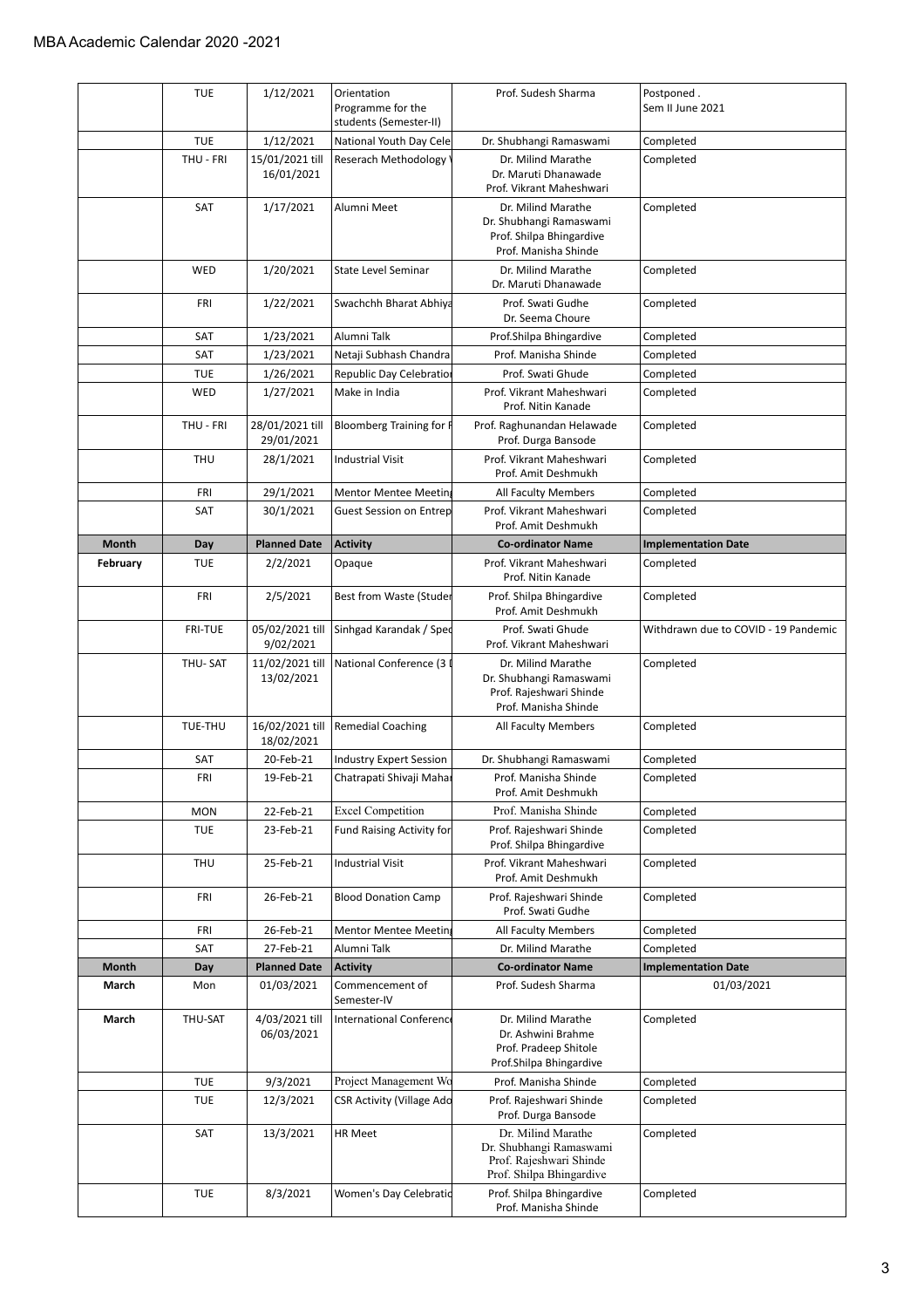|          | <b>TUE</b>     | 1/12/2021                     | Orientation<br>Programme for the<br>students (Semester-II) | Prof. Sudesh Sharma                                                                                  | Postponed.<br>Sem II June 2021       |
|----------|----------------|-------------------------------|------------------------------------------------------------|------------------------------------------------------------------------------------------------------|--------------------------------------|
|          | <b>TUE</b>     | 1/12/2021                     | National Youth Day Cele                                    | Dr. Shubhangi Ramaswami                                                                              | Completed                            |
|          | THU - FRI      | 15/01/2021 till<br>16/01/2021 | Reserach Methodology                                       | Dr. Milind Marathe<br>Dr. Maruti Dhanawade<br>Prof. Vikrant Maheshwari                               | Completed                            |
|          | SAT            | 1/17/2021                     | Alumni Meet                                                | Dr. Milind Marathe<br>Dr. Shubhangi Ramaswami<br>Prof. Shilpa Bhingardive<br>Prof. Manisha Shinde    | Completed                            |
|          | WED            | 1/20/2021                     | <b>State Level Seminar</b>                                 | Dr. Milind Marathe<br>Dr. Maruti Dhanawade                                                           | Completed                            |
|          | FRI            | 1/22/2021                     | Swachchh Bharat Abhiya                                     | Prof. Swati Gudhe<br>Dr. Seema Choure                                                                | Completed                            |
|          | SAT            | 1/23/2021                     | Alumni Talk                                                | Prof.Shilpa Bhingardive                                                                              | Completed                            |
|          | SAT            | 1/23/2021                     | Netaji Subhash Chandra                                     | Prof. Manisha Shinde                                                                                 | Completed                            |
|          | <b>TUE</b>     | 1/26/2021                     | Republic Day Celebratio                                    | Prof. Swati Ghude                                                                                    | Completed                            |
|          | WED            | 1/27/2021                     | Make in India                                              | Prof. Vikrant Maheshwari<br>Prof. Nitin Kanade                                                       | Completed                            |
|          | THU - FRI      | 28/01/2021 till<br>29/01/2021 | Bloomberg Training for F                                   | Prof. Raghunandan Helawade<br>Prof. Durga Bansode                                                    | Completed                            |
|          | THU            | 28/1/2021                     | <b>Industrial Visit</b>                                    | Prof. Vikrant Maheshwari<br>Prof. Amit Deshmukh                                                      | Completed                            |
|          | FRI            | 29/1/2021                     | Mentor Mentee Meeting                                      | All Faculty Members                                                                                  | Completed                            |
|          | SAT            | 30/1/2021                     | <b>Guest Session on Entrep</b>                             | Prof. Vikrant Maheshwari<br>Prof. Amit Deshmukh                                                      | Completed                            |
| Month    | Day            | <b>Planned Date</b>           | <b>Activity</b>                                            | <b>Co-ordinator Name</b>                                                                             | <b>Implementation Date</b>           |
| February | <b>TUE</b>     | 2/2/2021                      | Opaque                                                     | Prof. Vikrant Maheshwari<br>Prof. Nitin Kanade                                                       | Completed                            |
|          | FRI            | 2/5/2021                      | Best from Waste (Studer                                    | Prof. Shilpa Bhingardive<br>Prof. Amit Deshmukh                                                      | Completed                            |
|          | <b>FRI-TUE</b> | 05/02/2021 till<br>9/02/2021  | Sinhgad Karandak / Sped                                    | Prof. Swati Ghude<br>Prof. Vikrant Maheshwari                                                        | Withdrawn due to COVID - 19 Pandemic |
|          | THU-SAT        | 11/02/2021 till<br>13/02/2021 | National Conference (3 I                                   | Dr. Milind Marathe<br>Dr. Shubhangi Ramaswami<br>Prof. Rajeshwari Shinde<br>Prof. Manisha Shinde     | Completed                            |
|          | TUE-THU        | 16/02/2021 till<br>18/02/2021 | <b>Remedial Coaching</b>                                   | All Faculty Members                                                                                  | Completed                            |
|          | SAT            | 20-Feb-21                     | <b>Industry Expert Session</b>                             | Dr. Shubhangi Ramaswami                                                                              | Completed                            |
|          | <b>FRI</b>     | 19-Feb-21                     | Chatrapati Shivaji Mahar                                   | Prof. Manisha Shinde<br>Prof. Amit Deshmukh                                                          | Completed                            |
|          | <b>MON</b>     | 22-Feb-21                     | <b>Excel Competition</b>                                   | Prof. Manisha Shinde                                                                                 | Completed                            |
|          | <b>TUE</b>     | 23-Feb-21                     | <b>Fund Raising Activity for</b>                           | Prof. Rajeshwari Shinde<br>Prof. Shilpa Bhingardive                                                  | Completed                            |
|          | THU            | 25-Feb-21                     | <b>Industrial Visit</b>                                    | Prof. Vikrant Maheshwari<br>Prof. Amit Deshmukh                                                      | Completed                            |
|          | FRI            | 26-Feb-21                     | <b>Blood Donation Camp</b>                                 | Prof. Rajeshwari Shinde<br>Prof. Swati Gudhe                                                         | Completed                            |
|          | FRI            | 26-Feb-21                     | <b>Mentor Mentee Meeting</b>                               | All Faculty Members                                                                                  | Completed                            |
|          | SAT            | 27-Feb-21                     | Alumni Talk                                                | Dr. Milind Marathe                                                                                   | Completed                            |
| Month    | Day            | <b>Planned Date</b>           | <b>Activity</b>                                            | <b>Co-ordinator Name</b>                                                                             | <b>Implementation Date</b>           |
| March    | Mon            | 01/03/2021                    | Commencement of<br>Semester-IV                             | Prof. Sudesh Sharma                                                                                  | 01/03/2021                           |
| March    | THU-SAT        | 4/03/2021 till<br>06/03/2021  | International Conference                                   | Dr. Milind Marathe<br>Dr. Ashwini Brahme<br>Prof. Pradeep Shitole<br>Prof.Shilpa Bhingardive         | Completed                            |
|          | <b>TUE</b>     | 9/3/2021                      | Project Management Wo                                      | Prof. Manisha Shinde                                                                                 | Completed                            |
|          | <b>TUE</b>     | 12/3/2021                     | <b>CSR Activity (Village Ado</b>                           | Prof. Rajeshwari Shinde<br>Prof. Durga Bansode                                                       | Completed                            |
|          | SAT            | 13/3/2021                     | HR Meet                                                    | Dr. Milind Marathe<br>Dr. Shubhangi Ramaswami<br>Prof. Rajeshwari Shinde<br>Prof. Shilpa Bhingardive | Completed                            |
|          | <b>TUE</b>     | 8/3/2021                      | Women's Day Celebratid                                     | Prof. Shilpa Bhingardive<br>Prof. Manisha Shinde                                                     | Completed                            |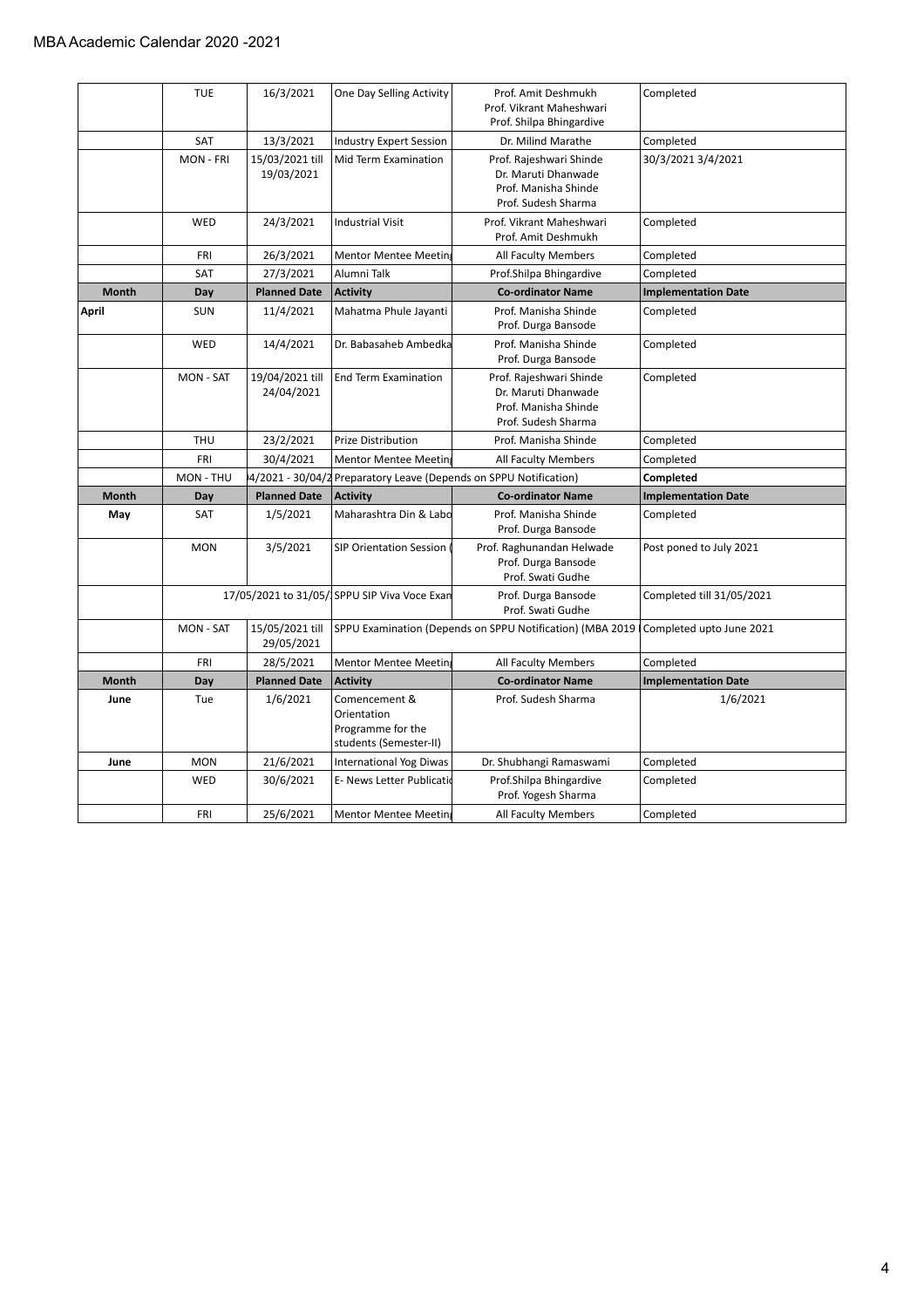|              | <b>TUE</b>       | 16/3/2021                     | One Day Selling Activity                                                    | Prof. Amit Deshmukh<br>Prof. Vikrant Maheshwari<br>Prof. Shilpa Bhingardive                   | Completed                  |
|--------------|------------------|-------------------------------|-----------------------------------------------------------------------------|-----------------------------------------------------------------------------------------------|----------------------------|
|              | SAT              | 13/3/2021                     | <b>Industry Expert Session</b>                                              | Dr. Milind Marathe                                                                            | Completed                  |
|              | MON - FRI        | 15/03/2021 till<br>19/03/2021 | Mid Term Examination                                                        | Prof. Rajeshwari Shinde<br>Dr. Maruti Dhanwade<br>Prof. Manisha Shinde<br>Prof. Sudesh Sharma | 30/3/2021 3/4/2021         |
|              | WED              | 24/3/2021                     | <b>Industrial Visit</b>                                                     | Prof. Vikrant Maheshwari<br>Prof. Amit Deshmukh                                               | Completed                  |
|              | FRI              | 26/3/2021                     | <b>Mentor Mentee Meeting</b>                                                | All Faculty Members                                                                           | Completed                  |
|              | SAT              | 27/3/2021                     | Alumni Talk                                                                 | Prof.Shilpa Bhingardive                                                                       | Completed                  |
| <b>Month</b> | Day              | <b>Planned Date</b>           | <b>Activity</b>                                                             | <b>Co-ordinator Name</b>                                                                      | <b>Implementation Date</b> |
| April        | <b>SUN</b>       | 11/4/2021                     | Mahatma Phule Jayanti                                                       | Prof. Manisha Shinde<br>Prof. Durga Bansode                                                   | Completed                  |
|              | WED              | 14/4/2021                     | Dr. Babasaheb Ambedka                                                       | Prof. Manisha Shinde<br>Prof. Durga Bansode                                                   | Completed                  |
|              | <b>MON - SAT</b> | 19/04/2021 till<br>24/04/2021 | <b>End Term Examination</b>                                                 | Prof. Rajeshwari Shinde<br>Dr. Maruti Dhanwade<br>Prof. Manisha Shinde<br>Prof. Sudesh Sharma | Completed                  |
|              | THU              | 23/2/2021                     | Prize Distribution                                                          | Prof. Manisha Shinde                                                                          | Completed                  |
|              | FRI              | 30/4/2021                     | <b>Mentor Mentee Meeting</b>                                                | All Faculty Members                                                                           | Completed                  |
|              | MON - THU        |                               |                                                                             | 4/2021 - 30/04/2 Preparatory Leave (Depends on SPPU Notification)                             | Completed                  |
| <b>Month</b> | Day              | <b>Planned Date</b>           | <b>Activity</b>                                                             | <b>Co-ordinator Name</b>                                                                      | <b>Implementation Date</b> |
| May          | <b>SAT</b>       | 1/5/2021                      | Maharashtra Din & Labo                                                      | Prof. Manisha Shinde<br>Prof. Durga Bansode                                                   | Completed                  |
|              | <b>MON</b>       | 3/5/2021                      | <b>SIP Orientation Session</b>                                              | Prof. Raghunandan Helwade<br>Prof. Durga Bansode<br>Prof. Swati Gudhe                         | Post poned to July 2021    |
|              |                  |                               | 17/05/2021 to 31/05/ SPPU SIP Viva Voce Exan                                | Prof. Durga Bansode<br>Prof. Swati Gudhe                                                      | Completed till 31/05/2021  |
|              | <b>MON - SAT</b> | 15/05/2021 till<br>29/05/2021 |                                                                             | SPPU Examination (Depends on SPPU Notification) (MBA 2019                                     | Completed upto June 2021   |
|              | FRI              | 28/5/2021                     | Mentor Mentee Meeting                                                       | All Faculty Members                                                                           | Completed                  |
| <b>Month</b> | Day              | <b>Planned Date</b>           | <b>Activity</b>                                                             | <b>Co-ordinator Name</b>                                                                      | <b>Implementation Date</b> |
| June         | Tue              | 1/6/2021                      | Comencement &<br>Orientation<br>Programme for the<br>students (Semester-II) | Prof. Sudesh Sharma                                                                           | 1/6/2021                   |
| June         | <b>MON</b>       | 21/6/2021                     | <b>International Yog Diwas</b>                                              | Dr. Shubhangi Ramaswami                                                                       | Completed                  |
|              | WED              | 30/6/2021                     | E- News Letter Publicatio                                                   | Prof.Shilpa Bhingardive<br>Prof. Yogesh Sharma                                                | Completed                  |
|              |                  |                               |                                                                             |                                                                                               |                            |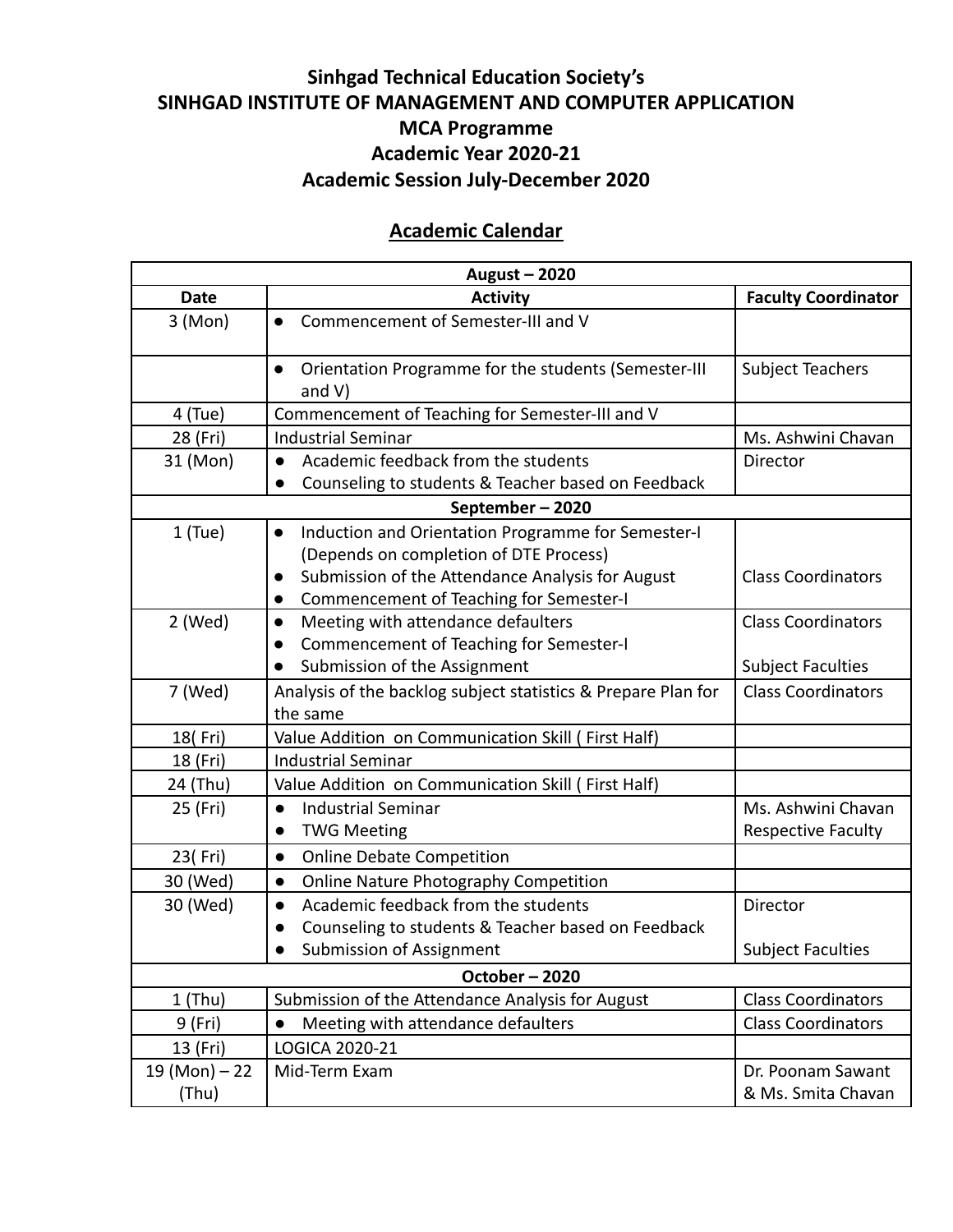## **Sinhgad Technical Education Society's SINHGAD INSTITUTE OF MANAGEMENT AND COMPUTER APPLICATION MCA Programme Academic Year 2020-21 Academic Session July-December 2020**

#### **Academic Calendar**

| August - 2020   |                                                                                            |                            |  |  |  |
|-----------------|--------------------------------------------------------------------------------------------|----------------------------|--|--|--|
| <b>Date</b>     | <b>Activity</b>                                                                            | <b>Faculty Coordinator</b> |  |  |  |
| 3 (Mon)         | Commencement of Semester-III and V<br>$\bullet$                                            |                            |  |  |  |
|                 | Orientation Programme for the students (Semester-III<br>$\bullet$<br>and $V$ )             | <b>Subject Teachers</b>    |  |  |  |
| 4 (Tue)         | Commencement of Teaching for Semester-III and V                                            |                            |  |  |  |
| 28 (Fri)        | <b>Industrial Seminar</b>                                                                  | Ms. Ashwini Chavan         |  |  |  |
| 31 (Mon)        | Academic feedback from the students<br>$\bullet$<br>$\bullet$                              | Director                   |  |  |  |
|                 | Counseling to students & Teacher based on Feedback<br>September-2020                       |                            |  |  |  |
|                 |                                                                                            |                            |  |  |  |
| $1$ (Tue)       | Induction and Orientation Programme for Semester-I<br>$\bullet$                            |                            |  |  |  |
|                 | (Depends on completion of DTE Process)<br>Submission of the Attendance Analysis for August | <b>Class Coordinators</b>  |  |  |  |
|                 | $\bullet$<br>Commencement of Teaching for Semester-I<br>$\bullet$                          |                            |  |  |  |
| 2 (Wed)         | Meeting with attendance defaulters<br>$\bullet$                                            | <b>Class Coordinators</b>  |  |  |  |
|                 | Commencement of Teaching for Semester-I                                                    |                            |  |  |  |
|                 | Submission of the Assignment<br>$\bullet$                                                  | <b>Subject Faculties</b>   |  |  |  |
| 7 (Wed)         | Analysis of the backlog subject statistics & Prepare Plan for                              | <b>Class Coordinators</b>  |  |  |  |
|                 | the same                                                                                   |                            |  |  |  |
| 18(Fri)         | Value Addition on Communication Skill (First Half)                                         |                            |  |  |  |
| 18 (Fri)        | <b>Industrial Seminar</b>                                                                  |                            |  |  |  |
| 24 (Thu)        | Value Addition on Communication Skill (First Half)                                         |                            |  |  |  |
| 25 (Fri)        | <b>Industrial Seminar</b><br>$\bullet$                                                     | Ms. Ashwini Chavan         |  |  |  |
|                 | <b>TWG Meeting</b><br>$\bullet$                                                            | <b>Respective Faculty</b>  |  |  |  |
| 23(Fri)         | <b>Online Debate Competition</b><br>$\bullet$                                              |                            |  |  |  |
| 30 (Wed)        | Online Nature Photography Competition<br>$\bullet$                                         |                            |  |  |  |
| 30 (Wed)        | Academic feedback from the students<br>$\bullet$                                           | Director                   |  |  |  |
|                 | Counseling to students & Teacher based on Feedback<br>$\bullet$                            |                            |  |  |  |
|                 | <b>Submission of Assignment</b>                                                            | <b>Subject Faculties</b>   |  |  |  |
| October-2020    |                                                                                            |                            |  |  |  |
| $1$ (Thu)       | Submission of the Attendance Analysis for August                                           | <b>Class Coordinators</b>  |  |  |  |
| 9 (Fri)         | Meeting with attendance defaulters<br>$\bullet$                                            | <b>Class Coordinators</b>  |  |  |  |
| 13 (Fri)        | LOGICA 2020-21                                                                             |                            |  |  |  |
| $19 (Mon) - 22$ | Mid-Term Exam                                                                              | Dr. Poonam Sawant          |  |  |  |
| (Thu)           |                                                                                            | & Ms. Smita Chavan         |  |  |  |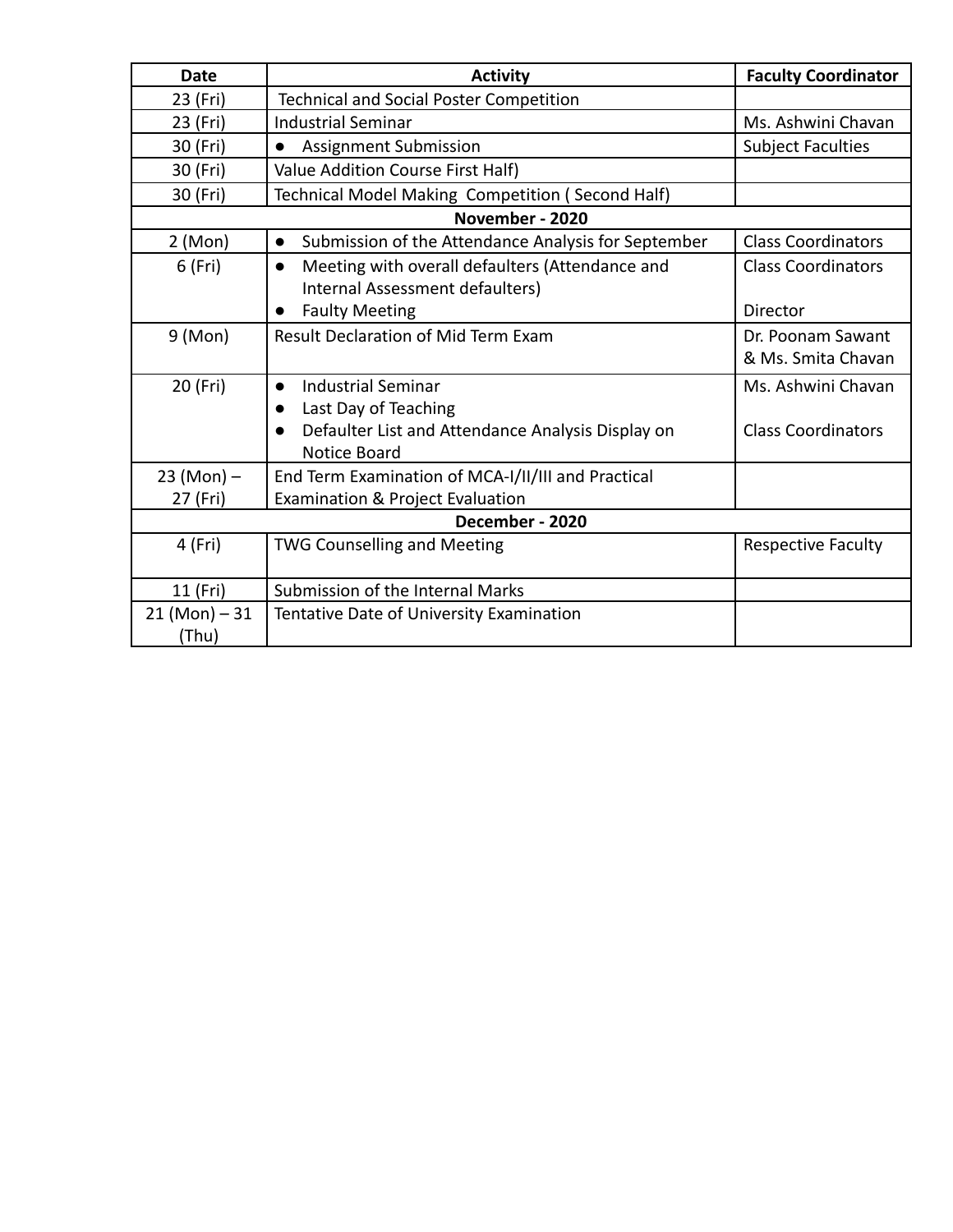| Date                     | <b>Activity</b>                                                                                                                                         | <b>Faculty Coordinator</b>                      |  |  |  |
|--------------------------|---------------------------------------------------------------------------------------------------------------------------------------------------------|-------------------------------------------------|--|--|--|
| 23 (Fri)                 | <b>Technical and Social Poster Competition</b>                                                                                                          |                                                 |  |  |  |
| 23 (Fri)                 | <b>Industrial Seminar</b>                                                                                                                               | Ms. Ashwini Chavan                              |  |  |  |
| 30 (Fri)                 | Assignment Submission<br>$\bullet$                                                                                                                      | <b>Subject Faculties</b>                        |  |  |  |
| 30 (Fri)                 | Value Addition Course First Half)                                                                                                                       |                                                 |  |  |  |
| 30 (Fri)                 | Technical Model Making Competition (Second Half)                                                                                                        |                                                 |  |  |  |
|                          | November - 2020                                                                                                                                         |                                                 |  |  |  |
| 2 (Mon)                  | Submission of the Attendance Analysis for September<br>$\bullet$                                                                                        | <b>Class Coordinators</b>                       |  |  |  |
| 6 (Fri)                  | Meeting with overall defaulters (Attendance and<br>$\bullet$<br>Internal Assessment defaulters)                                                         | <b>Class Coordinators</b>                       |  |  |  |
|                          | <b>Faulty Meeting</b><br>$\bullet$                                                                                                                      | Director                                        |  |  |  |
| 9 (Mon)                  | Result Declaration of Mid Term Exam                                                                                                                     | Dr. Poonam Sawant<br>& Ms. Smita Chavan         |  |  |  |
| 20 (Fri)                 | <b>Industrial Seminar</b><br>$\bullet$<br>Last Day of Teaching<br>$\bullet$<br>Defaulter List and Attendance Analysis Display on<br><b>Notice Board</b> | Ms. Ashwini Chavan<br><b>Class Coordinators</b> |  |  |  |
| $23 (Mon) -$<br>27 (Fri) | End Term Examination of MCA-I/II/III and Practical<br>Examination & Project Evaluation                                                                  |                                                 |  |  |  |
| December - 2020          |                                                                                                                                                         |                                                 |  |  |  |
| 4 (Fri)                  | <b>TWG Counselling and Meeting</b>                                                                                                                      | <b>Respective Faculty</b>                       |  |  |  |
| 11 (Fri)                 | Submission of the Internal Marks                                                                                                                        |                                                 |  |  |  |
| $21 (Mon) - 31$<br>(Thu) | Tentative Date of University Examination                                                                                                                |                                                 |  |  |  |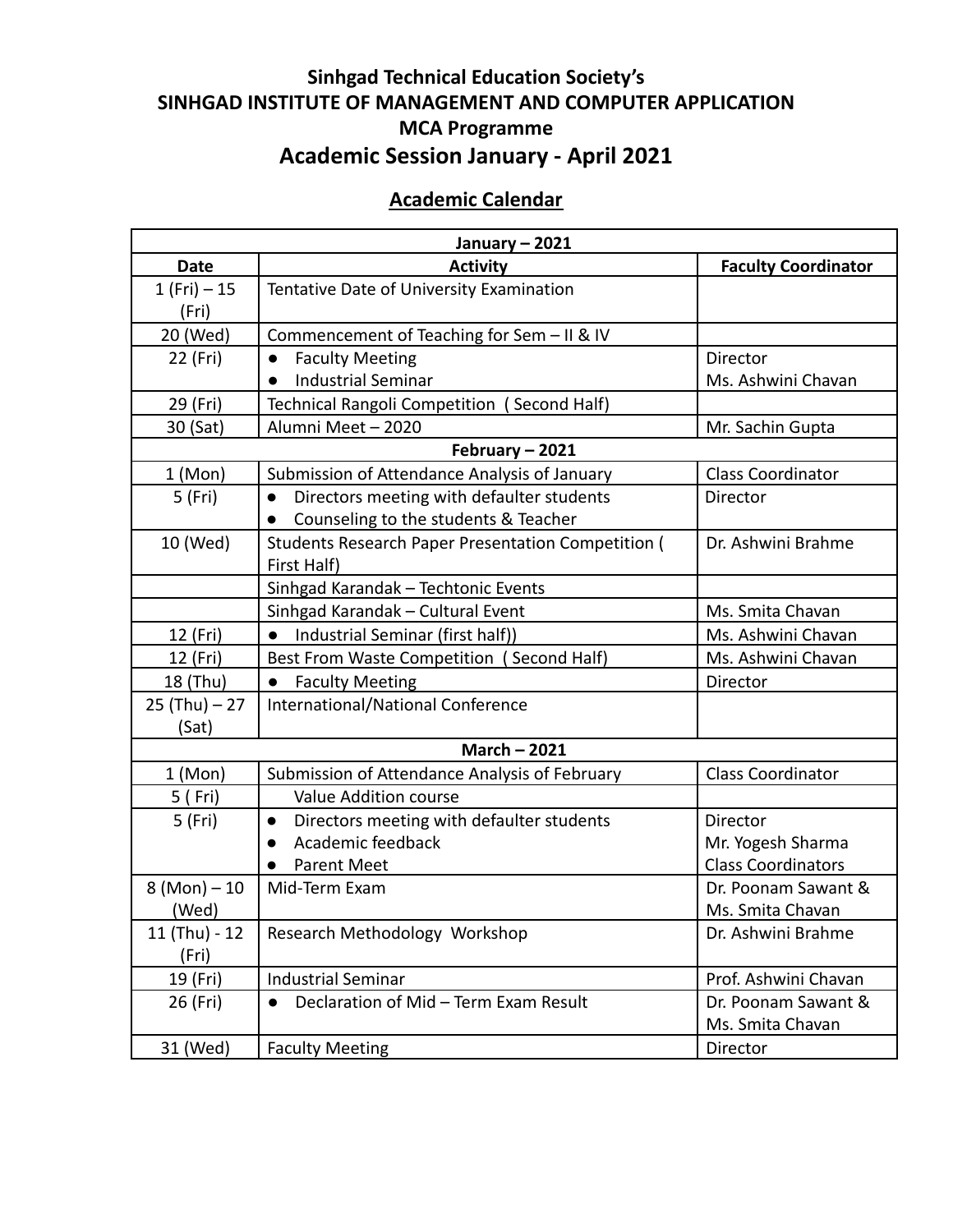# **Sinhgad Technical Education Society's SINHGAD INSTITUTE OF MANAGEMENT AND COMPUTER APPLICATION MCA Programme Academic Session January - April 2021**

## **Academic Calendar**

| January - 2021  |                                                           |                            |  |  |
|-----------------|-----------------------------------------------------------|----------------------------|--|--|
| <b>Date</b>     | <b>Activity</b>                                           | <b>Faculty Coordinator</b> |  |  |
| $1(Fri) - 15$   | Tentative Date of University Examination                  |                            |  |  |
| (Fri)           |                                                           |                            |  |  |
| 20 (Wed)        | Commencement of Teaching for Sem - II & IV                |                            |  |  |
| 22 (Fri)        | <b>Faculty Meeting</b><br>$\bullet$                       | Director                   |  |  |
|                 | <b>Industrial Seminar</b><br>$\bullet$                    | Ms. Ashwini Chavan         |  |  |
| 29 (Fri)        | Technical Rangoli Competition (Second Half)               |                            |  |  |
| 30 (Sat)        | Alumni Meet - 2020                                        | Mr. Sachin Gupta           |  |  |
|                 | February - 2021                                           |                            |  |  |
| 1 (Mon)         | Submission of Attendance Analysis of January              | <b>Class Coordinator</b>   |  |  |
| 5 (Fri)         | Directors meeting with defaulter students<br>$\bullet$    | Director                   |  |  |
|                 | Counseling to the students & Teacher                      |                            |  |  |
| 10 (Wed)        | <b>Students Research Paper Presentation Competition (</b> | Dr. Ashwini Brahme         |  |  |
|                 | First Half)                                               |                            |  |  |
|                 | Sinhgad Karandak - Techtonic Events                       |                            |  |  |
|                 | Sinhgad Karandak - Cultural Event                         | Ms. Smita Chavan           |  |  |
| 12 (Fri)        | Industrial Seminar (first half))<br>$\bullet$             | Ms. Ashwini Chavan         |  |  |
| 12 (Fri)        | Best From Waste Competition (Second Half)                 | Ms. Ashwini Chavan         |  |  |
| 18 (Thu)        | <b>Faculty Meeting</b><br>$\bullet$                       | Director                   |  |  |
| $25$ (Thu) - 27 | International/National Conference                         |                            |  |  |
| (Sat)           |                                                           |                            |  |  |
|                 | <b>March - 2021</b>                                       |                            |  |  |
| 1 (Mon)         | Submission of Attendance Analysis of February             | <b>Class Coordinator</b>   |  |  |
| 5 (Fri)         | <b>Value Addition course</b>                              |                            |  |  |
| 5 (Fri)         | Directors meeting with defaulter students<br>$\bullet$    | Director                   |  |  |
|                 | Academic feedback<br>$\bullet$                            | Mr. Yogesh Sharma          |  |  |
|                 | <b>Parent Meet</b><br>$\bullet$                           | <b>Class Coordinators</b>  |  |  |
| $8 (Mon) - 10$  | Mid-Term Exam                                             | Dr. Poonam Sawant &        |  |  |
| (Wed)           |                                                           | Ms. Smita Chavan           |  |  |
| 11 (Thu) - 12   | Research Methodology Workshop                             | Dr. Ashwini Brahme         |  |  |
| (Fri)           |                                                           |                            |  |  |
| 19 (Fri)        | <b>Industrial Seminar</b>                                 | Prof. Ashwini Chavan       |  |  |
| 26 (Fri)        | Declaration of Mid - Term Exam Result                     | Dr. Poonam Sawant &        |  |  |
|                 |                                                           | Ms. Smita Chavan           |  |  |
| 31 (Wed)        | <b>Faculty Meeting</b>                                    | Director                   |  |  |